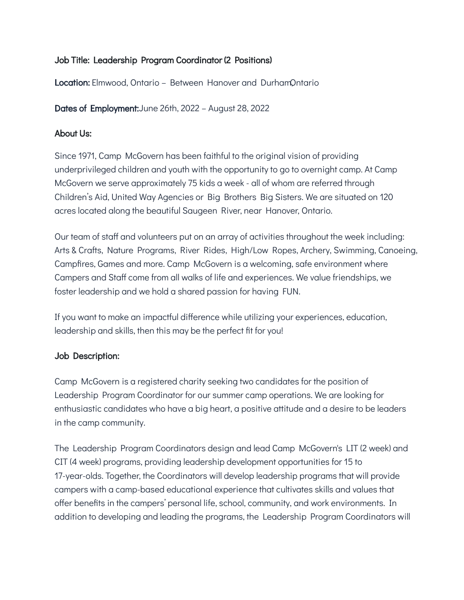# Job Title: Leadership Program Coordinator (2 Positions)

**Location:** Elmwood, Ontario – Between Hanover and DurhamOntario

Dates of Employment:June 26th, 2022 – August 28, 2022

## About Us:

Since 1971, Camp McGovern has been faithful to the original vision of providing underprivileged children and youth with the opportunity to go to overnight camp. At Camp McGovern we serve approximately 75 kids a week - all of whom are referred through Children's Aid, United Way Agencies or Big Brothers Big Sisters. We are situated on 120 acres located along the beautiful Saugeen River, near Hanover, Ontario.

Our team of staff and volunteers put on an array of activities throughout the week including: Arts & Crafts, Nature Programs, River Rides, High/Low Ropes, Archery, Swimming, Canoeing, Campfires, Games and more. Camp McGovern is a welcoming, safe environment where Campers and Staff come from all walks of life and experiences. We value friendships, we foster leadership and we hold a shared passion for having FUN.

If you want to make an impactful difference while utilizing your experiences, education, leadership and skills, then this may be the perfect fit for you!

## Job Description:

Camp McGovern is a registered charity seeking two candidates for the position of Leadership Program Coordinator for our summer camp operations. We are looking for enthusiastic candidates who have a big heart, a positive attitude and a desire to be leaders in the camp community.

The Leadership Program Coordinators design and lead Camp McGovern's LIT (2 week) and CIT (4 week) programs, providing leadership development opportunities for 15 to 17-year-olds. Together, the Coordinators will develop leadership programs that will provide campers with a camp-based educational experience that cultivates skills and values that offer benefits in the campers' personal life, school, community, and work environments. In addition to developing and leading the programs, the Leadership Program Coordinators will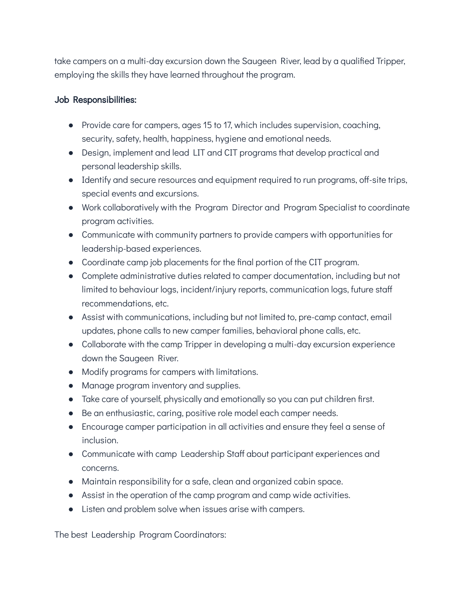take campers on a multi-day excursion down the Saugeen River, lead by a qualified Tripper, employing the skills they have learned throughout the program.

## Job Responsibilities:

- Provide care for campers, ages 15 to 17, which includes supervision, coaching, security, safety, health, happiness, hygiene and emotional needs.
- Design, implement and lead LIT and CIT programs that develop practical and personal leadership skills.
- Identify and secure resources and equipment required to run programs, off-site trips, special events and excursions.
- Work collaboratively with the Program Director and Program Specialist to coordinate program activities.
- Communicate with community partners to provide campers with opportunities for leadership-based experiences.
- Coordinate camp job placements for the final portion of the CIT program.
- Complete administrative duties related to camper documentation, including but not limited to behaviour logs, incident/injury reports, communication logs, future staff recommendations, etc.
- Assist with communications, including but not limited to, pre-camp contact, email updates, phone calls to new camper families, behavioral phone calls, etc.
- Collaborate with the camp Tripper in developing a multi-day excursion experience down the Saugeen River.
- Modify programs for campers with limitations.
- Manage program inventory and supplies.
- Take care of yourself, physically and emotionally so you can put children first.
- Be an enthusiastic, caring, positive role model each camper needs.
- Encourage camper participation in all activities and ensure they feel a sense of inclusion.
- Communicate with camp Leadership Staff about participant experiences and concerns.
- Maintain responsibility for a safe, clean and organized cabin space.
- Assist in the operation of the camp program and camp wide activities.
- Listen and problem solve when issues arise with campers.

The best Leadership Program Coordinators: